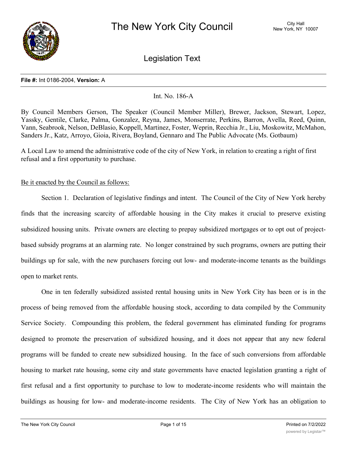

Legislation Text

### **File #:** Int 0186-2004, **Version:** A

### Int. No. 186-A

By Council Members Gerson, The Speaker (Council Member Miller), Brewer, Jackson, Stewart, Lopez, Yassky, Gentile, Clarke, Palma, Gonzalez, Reyna, James, Monserrate, Perkins, Barron, Avella, Reed, Quinn, Vann, Seabrook, Nelson, DeBlasio, Koppell, Martinez, Foster, Weprin, Recchia Jr., Liu, Moskowitz, McMahon, Sanders Jr., Katz, Arroyo, Gioia, Rivera, Boyland, Gennaro and The Public Advocate (Ms. Gotbaum)

A Local Law to amend the administrative code of the city of New York, in relation to creating a right of first refusal and a first opportunity to purchase.

### Be it enacted by the Council as follows:

Section 1. Declaration of legislative findings and intent. The Council of the City of New York hereby finds that the increasing scarcity of affordable housing in the City makes it crucial to preserve existing subsidized housing units. Private owners are electing to prepay subsidized mortgages or to opt out of projectbased subsidy programs at an alarming rate. No longer constrained by such programs, owners are putting their buildings up for sale, with the new purchasers forcing out low- and moderate-income tenants as the buildings open to market rents.

One in ten federally subsidized assisted rental housing units in New York City has been or is in the process of being removed from the affordable housing stock, according to data compiled by the Community Service Society. Compounding this problem, the federal government has eliminated funding for programs designed to promote the preservation of subsidized housing, and it does not appear that any new federal programs will be funded to create new subsidized housing. In the face of such conversions from affordable housing to market rate housing, some city and state governments have enacted legislation granting a right of first refusal and a first opportunity to purchase to low to moderate-income residents who will maintain the buildings as housing for low- and moderate-income residents. The City of New York has an obligation to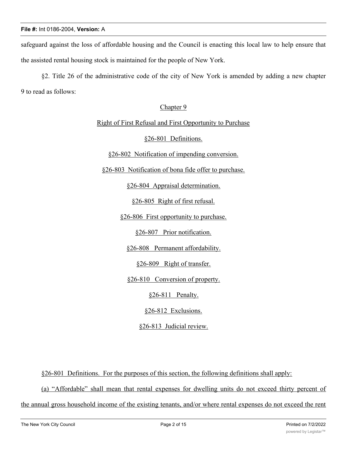safeguard against the loss of affordable housing and the Council is enacting this local law to help ensure that the assisted rental housing stock is maintained for the people of New York.

§2. Title 26 of the administrative code of the city of New York is amended by adding a new chapter 9 to read as follows:

# Chapter 9

## Right of First Refusal and First Opportunity to Purchase

## §26-801 Definitions.

§26-802 Notification of impending conversion.

§26-803 Notification of bona fide offer to purchase.

§26-804 Appraisal determination.

§26-805 Right of first refusal.

§26-806 First opportunity to purchase.

§26-807 Prior notification.

§26-808 Permanent affordability.

§26-809 Right of transfer.

§26-810 Conversion of property.

§26-811 Penalty.

§26-812 Exclusions.

§26-813 Judicial review.

§26-801 Definitions. For the purposes of this section, the following definitions shall apply:

(a) "Affordable" shall mean that rental expenses for dwelling units do not exceed thirty percent of

the annual gross household income of the existing tenants, and/or where rental expenses do not exceed the rent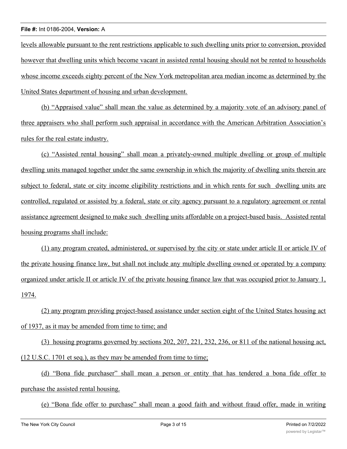levels allowable pursuant to the rent restrictions applicable to such dwelling units prior to conversion, provided however that dwelling units which become vacant in assisted rental housing should not be rented to households whose income exceeds eighty percent of the New York metropolitan area median income as determined by the United States department of housing and urban development.

(b) "Appraised value" shall mean the value as determined by a majority vote of an advisory panel of three appraisers who shall perform such appraisal in accordance with the American Arbitration Association's rules for the real estate industry.

(c) "Assisted rental housing" shall mean a privately-owned multiple dwelling or group of multiple dwelling units managed together under the same ownership in which the majority of dwelling units therein are subject to federal, state or city income eligibility restrictions and in which rents for such dwelling units are controlled, regulated or assisted by a federal, state or city agency pursuant to a regulatory agreement or rental assistance agreement designed to make such dwelling units affordable on a project-based basis. Assisted rental housing programs shall include:

(1) any program created, administered, or supervised by the city or state under article II or article IV of the private housing finance law, but shall not include any multiple dwelling owned or operated by a company organized under article II or article IV of the private housing finance law that was occupied prior to January 1, 1974.

(2) any program providing project-based assistance under section eight of the United States housing act of 1937, as it may be amended from time to time; and

(3) housing programs governed by sections 202, 207, 221, 232, 236, or 811 of the national housing act, (12 U.S.C. 1701 et seq.), as they may be amended from time to time;

(d) "Bona fide purchaser" shall mean a person or entity that has tendered a bona fide offer to purchase the assisted rental housing.

(e) "Bona fide offer to purchase" shall mean a good faith and without fraud offer, made in writing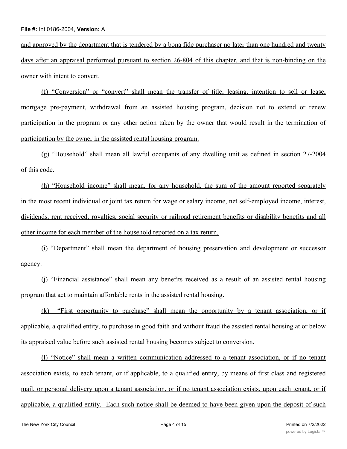and approved by the department that is tendered by a bona fide purchaser no later than one hundred and twenty days after an appraisal performed pursuant to section 26-804 of this chapter, and that is non-binding on the owner with intent to convert.

(f) "Conversion" or "convert" shall mean the transfer of title, leasing, intention to sell or lease, mortgage pre-payment, withdrawal from an assisted housing program, decision not to extend or renew participation in the program or any other action taken by the owner that would result in the termination of participation by the owner in the assisted rental housing program.

(g) "Household" shall mean all lawful occupants of any dwelling unit as defined in section 27-2004 of this code.

(h) "Household income" shall mean, for any household, the sum of the amount reported separately in the most recent individual or joint tax return for wage or salary income, net self-employed income, interest, dividends, rent received, royalties, social security or railroad retirement benefits or disability benefits and all other income for each member of the household reported on a tax return.

(i) "Department" shall mean the department of housing preservation and development or successor agency.

(j) "Financial assistance" shall mean any benefits received as a result of an assisted rental housing program that act to maintain affordable rents in the assisted rental housing.

(k) "First opportunity to purchase" shall mean the opportunity by a tenant association, or if applicable, a qualified entity, to purchase in good faith and without fraud the assisted rental housing at or below its appraised value before such assisted rental housing becomes subject to conversion.

(l) "Notice" shall mean a written communication addressed to a tenant association, or if no tenant association exists, to each tenant, or if applicable, to a qualified entity, by means of first class and registered mail, or personal delivery upon a tenant association, or if no tenant association exists, upon each tenant, or if applicable, a qualified entity. Each such notice shall be deemed to have been given upon the deposit of such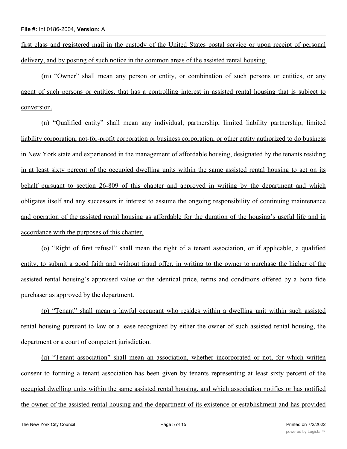first class and registered mail in the custody of the United States postal service or upon receipt of personal delivery, and by posting of such notice in the common areas of the assisted rental housing.

(m) "Owner" shall mean any person or entity, or combination of such persons or entities, or any agent of such persons or entities, that has a controlling interest in assisted rental housing that is subject to conversion.

(n) "Qualified entity" shall mean any individual, partnership, limited liability partnership, limited liability corporation, not-for-profit corporation or business corporation, or other entity authorized to do business in New York state and experienced in the management of affordable housing, designated by the tenants residing in at least sixty percent of the occupied dwelling units within the same assisted rental housing to act on its behalf pursuant to section 26-809 of this chapter and approved in writing by the department and which obligates itself and any successors in interest to assume the ongoing responsibility of continuing maintenance and operation of the assisted rental housing as affordable for the duration of the housing's useful life and in accordance with the purposes of this chapter.

(o) "Right of first refusal" shall mean the right of a tenant association, or if applicable, a qualified entity, to submit a good faith and without fraud offer, in writing to the owner to purchase the higher of the assisted rental housing's appraised value or the identical price, terms and conditions offered by a bona fide purchaser as approved by the department.

(p) "Tenant" shall mean a lawful occupant who resides within a dwelling unit within such assisted rental housing pursuant to law or a lease recognized by either the owner of such assisted rental housing, the department or a court of competent jurisdiction.

(q) "Tenant association" shall mean an association, whether incorporated or not, for which written consent to forming a tenant association has been given by tenants representing at least sixty percent of the occupied dwelling units within the same assisted rental housing, and which association notifies or has notified the owner of the assisted rental housing and the department of its existence or establishment and has provided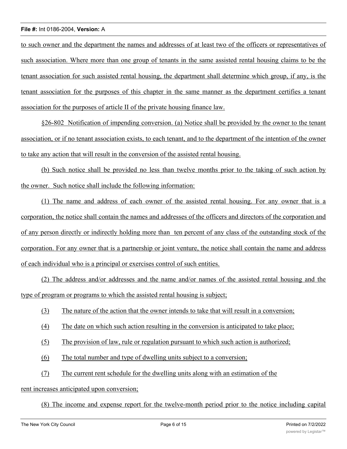to such owner and the department the names and addresses of at least two of the officers or representatives of such association. Where more than one group of tenants in the same assisted rental housing claims to be the tenant association for such assisted rental housing, the department shall determine which group, if any, is the tenant association for the purposes of this chapter in the same manner as the department certifies a tenant association for the purposes of article II of the private housing finance law.

§26-802 Notification of impending conversion. (a) Notice shall be provided by the owner to the tenant association, or if no tenant association exists, to each tenant, and to the department of the intention of the owner to take any action that will result in the conversion of the assisted rental housing.

(b) Such notice shall be provided no less than twelve months prior to the taking of such action by the owner. Such notice shall include the following information:

(1) The name and address of each owner of the assisted rental housing. For any owner that is a corporation, the notice shall contain the names and addresses of the officers and directors of the corporation and of any person directly or indirectly holding more than ten percent of any class of the outstanding stock of the corporation. For any owner that is a partnership or joint venture, the notice shall contain the name and address of each individual who is a principal or exercises control of such entities.

(2) The address and/or addresses and the name and/or names of the assisted rental housing and the type of program or programs to which the assisted rental housing is subject;

- (3) The nature of the action that the owner intends to take that will result in a conversion;
- (4) The date on which such action resulting in the conversion is anticipated to take place;
- (5) The provision of law, rule or regulation pursuant to which such action is authorized;
- (6) The total number and type of dwelling units subject to a conversion;
- (7) The current rent schedule for the dwelling units along with an estimation of the

## rent increases anticipated upon conversion;

(8) The income and expense report for the twelve-month period prior to the notice including capital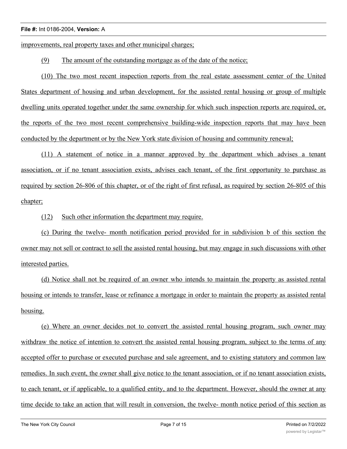improvements, real property taxes and other municipal charges;

(9) The amount of the outstanding mortgage as of the date of the notice;

(10) The two most recent inspection reports from the real estate assessment center of the United States department of housing and urban development, for the assisted rental housing or group of multiple dwelling units operated together under the same ownership for which such inspection reports are required, or, the reports of the two most recent comprehensive building-wide inspection reports that may have been conducted by the department or by the New York state division of housing and community renewal;

(11) A statement of notice in a manner approved by the department which advises a tenant association, or if no tenant association exists, advises each tenant, of the first opportunity to purchase as required by section 26-806 of this chapter, or of the right of first refusal, as required by section 26-805 of this chapter;

(12) Such other information the department may require.

(c) During the twelve- month notification period provided for in subdivision b of this section the owner may not sell or contract to sell the assisted rental housing, but may engage in such discussions with other interested parties.

(d) Notice shall not be required of an owner who intends to maintain the property as assisted rental housing or intends to transfer, lease or refinance a mortgage in order to maintain the property as assisted rental housing.

(e) Where an owner decides not to convert the assisted rental housing program, such owner may withdraw the notice of intention to convert the assisted rental housing program, subject to the terms of any accepted offer to purchase or executed purchase and sale agreement, and to existing statutory and common law remedies. In such event, the owner shall give notice to the tenant association, or if no tenant association exists, to each tenant, or if applicable, to a qualified entity, and to the department. However, should the owner at any time decide to take an action that will result in conversion, the twelve- month notice period of this section as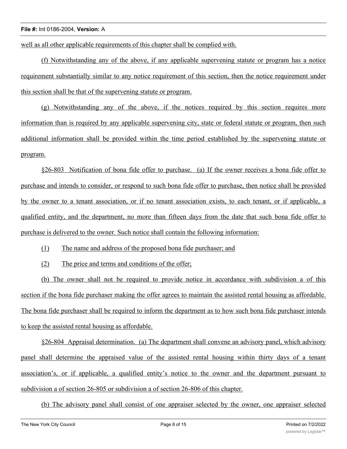well as all other applicable requirements of this chapter shall be complied with.

(f) Notwithstanding any of the above, if any applicable supervening statute or program has a notice requirement substantially similar to any notice requirement of this section, then the notice requirement under this section shall be that of the supervening statute or program.

(g) Notwithstanding any of the above, if the notices required by this section requires more information than is required by any applicable supervening city, state or federal statute or program, then such additional information shall be provided within the time period established by the supervening statute or program.

§26-803 Notification of bona fide offer to purchase. (a) If the owner receives a bona fide offer to purchase and intends to consider, or respond to such bona fide offer to purchase, then notice shall be provided by the owner to a tenant association, or if no tenant association exists, to each tenant, or if applicable, a qualified entity, and the department, no more than fifteen days from the date that such bona fide offer to purchase is delivered to the owner. Such notice shall contain the following information:

(1) The name and address of the proposed bona fide purchaser; and

(2) The price and terms and conditions of the offer;

(b) The owner shall not be required to provide notice in accordance with subdivision a of this section if the bona fide purchaser making the offer agrees to maintain the assisted rental housing as affordable. The bona fide purchaser shall be required to inform the department as to how such bona fide purchaser intends to keep the assisted rental housing as affordable.

§26-804 Appraisal determination. (a) The department shall convene an advisory panel, which advisory panel shall determine the appraised value of the assisted rental housing within thirty days of a tenant association's, or if applicable, a qualified entity's notice to the owner and the department pursuant to subdivision a of section 26-805 or subdivision a of section 26-806 of this chapter.

(b) The advisory panel shall consist of one appraiser selected by the owner, one appraiser selected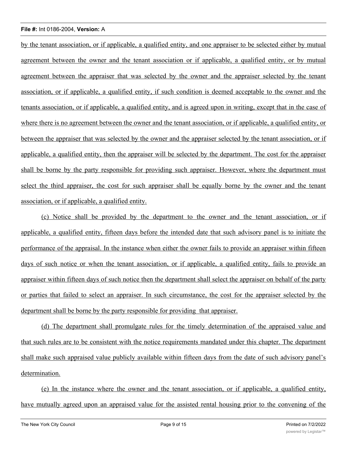by the tenant association, or if applicable, a qualified entity, and one appraiser to be selected either by mutual agreement between the owner and the tenant association or if applicable, a qualified entity, or by mutual agreement between the appraiser that was selected by the owner and the appraiser selected by the tenant association, or if applicable, a qualified entity, if such condition is deemed acceptable to the owner and the tenants association, or if applicable, a qualified entity, and is agreed upon in writing, except that in the case of where there is no agreement between the owner and the tenant association, or if applicable, a qualified entity, or between the appraiser that was selected by the owner and the appraiser selected by the tenant association, or if applicable, a qualified entity, then the appraiser will be selected by the department. The cost for the appraiser shall be borne by the party responsible for providing such appraiser. However, where the department must select the third appraiser, the cost for such appraiser shall be equally borne by the owner and the tenant association, or if applicable, a qualified entity.

(c) Notice shall be provided by the department to the owner and the tenant association, or if applicable, a qualified entity, fifteen days before the intended date that such advisory panel is to initiate the performance of the appraisal. In the instance when either the owner fails to provide an appraiser within fifteen days of such notice or when the tenant association, or if applicable, a qualified entity, fails to provide an appraiser within fifteen days of such notice then the department shall select the appraiser on behalf of the party or parties that failed to select an appraiser. In such circumstance, the cost for the appraiser selected by the department shall be borne by the party responsible for providing that appraiser.

(d) The department shall promulgate rules for the timely determination of the appraised value and that such rules are to be consistent with the notice requirements mandated under this chapter. The department shall make such appraised value publicly available within fifteen days from the date of such advisory panel's determination.

(e) In the instance where the owner and the tenant association, or if applicable, a qualified entity, have mutually agreed upon an appraised value for the assisted rental housing prior to the convening of the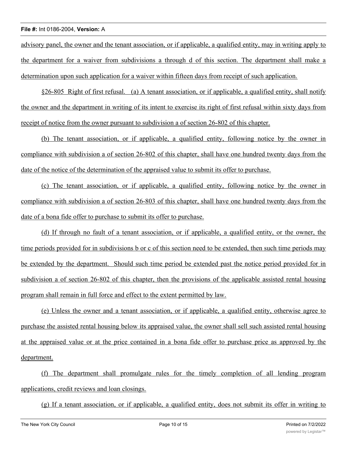advisory panel, the owner and the tenant association, or if applicable, a qualified entity, may in writing apply to the department for a waiver from subdivisions a through d of this section. The department shall make a determination upon such application for a waiver within fifteen days from receipt of such application.

§26-805 Right of first refusal. (a) A tenant association, or if applicable, a qualified entity, shall notify the owner and the department in writing of its intent to exercise its right of first refusal within sixty days from receipt of notice from the owner pursuant to subdivision a of section 26-802 of this chapter.

(b) The tenant association, or if applicable, a qualified entity, following notice by the owner in compliance with subdivision a of section 26-802 of this chapter, shall have one hundred twenty days from the date of the notice of the determination of the appraised value to submit its offer to purchase.

(c) The tenant association, or if applicable, a qualified entity, following notice by the owner in compliance with subdivision a of section 26-803 of this chapter, shall have one hundred twenty days from the date of a bona fide offer to purchase to submit its offer to purchase.

(d) If through no fault of a tenant association, or if applicable, a qualified entity, or the owner, the time periods provided for in subdivisions b or c of this section need to be extended, then such time periods may be extended by the department. Should such time period be extended past the notice period provided for in subdivision a of section 26-802 of this chapter, then the provisions of the applicable assisted rental housing program shall remain in full force and effect to the extent permitted by law.

(e) Unless the owner and a tenant association, or if applicable, a qualified entity, otherwise agree to purchase the assisted rental housing below its appraised value, the owner shall sell such assisted rental housing at the appraised value or at the price contained in a bona fide offer to purchase price as approved by the department.

(f) The department shall promulgate rules for the timely completion of all lending program applications, credit reviews and loan closings.

(g) If a tenant association, or if applicable, a qualified entity, does not submit its offer in writing to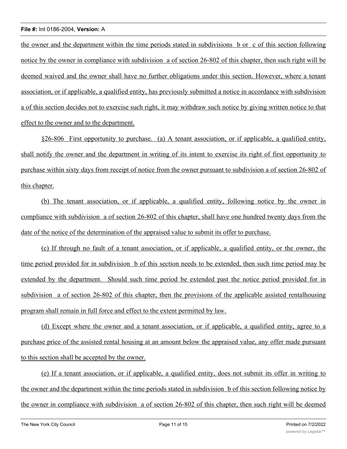the owner and the department within the time periods stated in subdivisions b or c of this section following notice by the owner in compliance with subdivision a of section 26-802 of this chapter, then such right will be deemed waived and the owner shall have no further obligations under this section. However, where a tenant association, or if applicable, a qualified entity, has previously submitted a notice in accordance with subdivision a of this section decides not to exercise such right, it may withdraw such notice by giving written notice to that effect to the owner and to the department.

§26-806 First opportunity to purchase. (a) A tenant association, or if applicable, a qualified entity, shall notify the owner and the department in writing of its intent to exercise its right of first opportunity to purchase within sixty days from receipt of notice from the owner pursuant to subdivision a of section 26-802 of this chapter.

(b) The tenant association, or if applicable, a qualified entity, following notice by the owner in compliance with subdivision a of section 26-802 of this chapter, shall have one hundred twenty days from the date of the notice of the determination of the appraised value to submit its offer to purchase.

(c) If through no fault of a tenant association, or if applicable, a qualified entity, or the owner, the time period provided for in subdivision b of this section needs to be extended, then such time period may be extended by the department. Should such time period be extended past the notice period provided for in subdivision a of section 26-802 of this chapter, then the provisions of the applicable assisted rentalhousing program shall remain in full force and effect to the extent permitted by law.

(d) Except where the owner and a tenant association, or if applicable, a qualified entity, agree to a purchase price of the assisted rental housing at an amount below the appraised value, any offer made pursuant to this section shall be accepted by the owner.

(e) If a tenant association, or if applicable, a qualified entity, does not submit its offer in writing to the owner and the department within the time periods stated in subdivision b of this section following notice by the owner in compliance with subdivision a of section 26-802 of this chapter, then such right will be deemed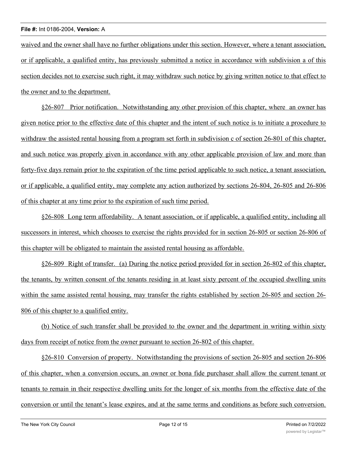waived and the owner shall have no further obligations under this section. However, where a tenant association, or if applicable, a qualified entity, has previously submitted a notice in accordance with subdivision a of this section decides not to exercise such right, it may withdraw such notice by giving written notice to that effect to the owner and to the department.

§26-807 Prior notification. Notwithstanding any other provision of this chapter, where an owner has given notice prior to the effective date of this chapter and the intent of such notice is to initiate a procedure to withdraw the assisted rental housing from a program set forth in subdivision c of section 26-801 of this chapter, and such notice was properly given in accordance with any other applicable provision of law and more than forty-five days remain prior to the expiration of the time period applicable to such notice, a tenant association, or if applicable, a qualified entity, may complete any action authorized by sections 26-804, 26-805 and 26-806 of this chapter at any time prior to the expiration of such time period.

§26-808 Long term affordability. A tenant association, or if applicable, a qualified entity, including all successors in interest, which chooses to exercise the rights provided for in section 26-805 or section 26-806 of this chapter will be obligated to maintain the assisted rental housing as affordable.

§26-809 Right of transfer. (a) During the notice period provided for in section 26-802 of this chapter, the tenants, by written consent of the tenants residing in at least sixty percent of the occupied dwelling units within the same assisted rental housing, may transfer the rights established by section 26-805 and section 26- 806 of this chapter to a qualified entity.

(b) Notice of such transfer shall be provided to the owner and the department in writing within sixty days from receipt of notice from the owner pursuant to section 26-802 of this chapter.

§26-810 Conversion of property. Notwithstanding the provisions of section 26-805 and section 26-806 of this chapter, when a conversion occurs, an owner or bona fide purchaser shall allow the current tenant or tenants to remain in their respective dwelling units for the longer of six months from the effective date of the conversion or until the tenant's lease expires, and at the same terms and conditions as before such conversion.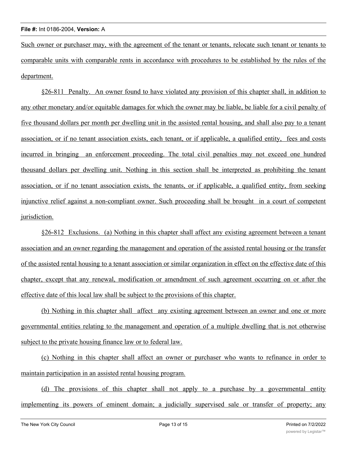Such owner or purchaser may, with the agreement of the tenant or tenants, relocate such tenant or tenants to comparable units with comparable rents in accordance with procedures to be established by the rules of the department.

§26-811 Penalty. An owner found to have violated any provision of this chapter shall, in addition to any other monetary and/or equitable damages for which the owner may be liable, be liable for a civil penalty of five thousand dollars per month per dwelling unit in the assisted rental housing, and shall also pay to a tenant association, or if no tenant association exists, each tenant, or if applicable, a qualified entity, fees and costs incurred in bringing an enforcement proceeding. The total civil penalties may not exceed one hundred thousand dollars per dwelling unit. Nothing in this section shall be interpreted as prohibiting the tenant association, or if no tenant association exists, the tenants, or if applicable, a qualified entity, from seeking injunctive relief against a non-compliant owner. Such proceeding shall be brought in a court of competent jurisdiction.

§26-812 Exclusions. (a) Nothing in this chapter shall affect any existing agreement between a tenant association and an owner regarding the management and operation of the assisted rental housing or the transfer of the assisted rental housing to a tenant association or similar organization in effect on the effective date of this chapter, except that any renewal, modification or amendment of such agreement occurring on or after the effective date of this local law shall be subject to the provisions of this chapter.

(b) Nothing in this chapter shall affect any existing agreement between an owner and one or more governmental entities relating to the management and operation of a multiple dwelling that is not otherwise subject to the private housing finance law or to federal law.

(c) Nothing in this chapter shall affect an owner or purchaser who wants to refinance in order to maintain participation in an assisted rental housing program.

(d) The provisions of this chapter shall not apply to a purchase by a governmental entity implementing its powers of eminent domain; a judicially supervised sale or transfer of property; any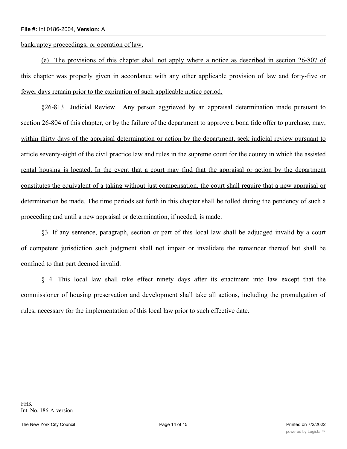bankruptcy proceedings; or operation of law.

(e) The provisions of this chapter shall not apply where a notice as described in section 26-807 of this chapter was properly given in accordance with any other applicable provision of law and forty-five or fewer days remain prior to the expiration of such applicable notice period.

§26-813 Judicial Review. Any person aggrieved by an appraisal determination made pursuant to section 26-804 of this chapter, or by the failure of the department to approve a bona fide offer to purchase, may, within thirty days of the appraisal determination or action by the department, seek judicial review pursuant to article seventy-eight of the civil practice law and rules in the supreme court for the county in which the assisted rental housing is located. In the event that a court may find that the appraisal or action by the department constitutes the equivalent of a taking without just compensation, the court shall require that a new appraisal or determination be made. The time periods set forth in this chapter shall be tolled during the pendency of such a proceeding and until a new appraisal or determination, if needed, is made.

§3. If any sentence, paragraph, section or part of this local law shall be adjudged invalid by a court of competent jurisdiction such judgment shall not impair or invalidate the remainder thereof but shall be confined to that part deemed invalid.

§ 4. This local law shall take effect ninety days after its enactment into law except that the commissioner of housing preservation and development shall take all actions, including the promulgation of rules, necessary for the implementation of this local law prior to such effective date.